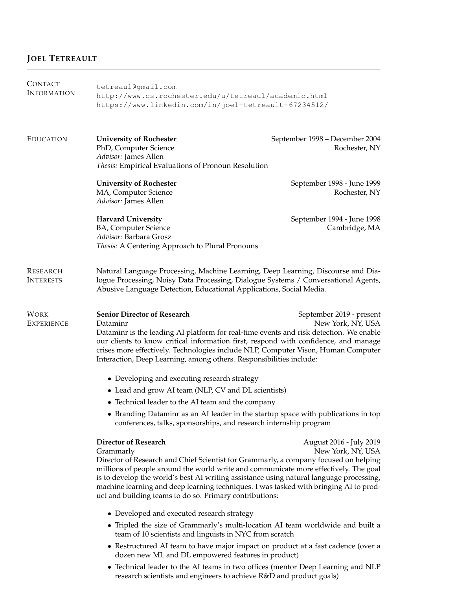# **JOEL TETREAULT**

| CONTACT<br><b>INFORMATION</b>       | tetreaul@qmail.com<br>http://www.cs.rochester.edu/u/tetreaul/academic.html<br>https://www.linkedin.com/in/joel-tetreault-67234512/                                                                                                                                                                                                                                                                                                                                      |                                                 |  |
|-------------------------------------|-------------------------------------------------------------------------------------------------------------------------------------------------------------------------------------------------------------------------------------------------------------------------------------------------------------------------------------------------------------------------------------------------------------------------------------------------------------------------|-------------------------------------------------|--|
| <b>EDUCATION</b>                    | <b>University of Rochester</b><br>PhD, Computer Science<br>Advisor: James Allen<br>Thesis: Empirical Evaluations of Pronoun Resolution                                                                                                                                                                                                                                                                                                                                  | September 1998 - December 2004<br>Rochester, NY |  |
|                                     | <b>University of Rochester</b><br>MA, Computer Science<br>Advisor: James Allen                                                                                                                                                                                                                                                                                                                                                                                          | September 1998 - June 1999<br>Rochester, NY     |  |
|                                     | <b>Harvard University</b><br>BA, Computer Science<br>Advisor: Barbara Grosz<br>Thesis: A Centering Approach to Plural Pronouns                                                                                                                                                                                                                                                                                                                                          | September 1994 - June 1998<br>Cambridge, MA     |  |
| <b>RESEARCH</b><br><b>INTERESTS</b> | Natural Language Processing, Machine Learning, Deep Learning, Discourse and Dia-<br>logue Processing, Noisy Data Processing, Dialogue Systems / Conversational Agents,<br>Abusive Language Detection, Educational Applications, Social Media.                                                                                                                                                                                                                           |                                                 |  |
| <b>WORK</b><br><b>EXPERIENCE</b>    | <b>Senior Director of Research</b><br>Dataminr<br>Dataminr is the leading AI platform for real-time events and risk detection. We enable<br>our clients to know critical information first, respond with confidence, and manage<br>crises more effectively. Technologies include NLP, Computer Vison, Human Computer<br>Interaction, Deep Learning, among others. Responsibilities include:                                                                             | September 2019 - present<br>New York, NY, USA   |  |
|                                     | • Developing and executing research strategy                                                                                                                                                                                                                                                                                                                                                                                                                            |                                                 |  |
|                                     | • Lead and grow AI team (NLP, CV and DL scientists)                                                                                                                                                                                                                                                                                                                                                                                                                     |                                                 |  |
|                                     | • Technical leader to the AI team and the company                                                                                                                                                                                                                                                                                                                                                                                                                       |                                                 |  |
|                                     | • Branding Dataminr as an AI leader in the startup space with publications in top<br>conferences, talks, sponsorships, and research internship program                                                                                                                                                                                                                                                                                                                  |                                                 |  |
|                                     | <b>Director of Research</b><br>Grammarly<br>Director of Research and Chief Scientist for Grammarly, a company focused on helping<br>millions of people around the world write and communicate more effectively. The goal<br>is to develop the world's best AI writing assistance using natural language processing,<br>machine learning and deep learning techniques. I was tasked with bringing AI to prod-<br>uct and building teams to do so. Primary contributions: | August 2016 - July 2019<br>New York, NY, USA    |  |
|                                     | • Developed and executed research strategy                                                                                                                                                                                                                                                                                                                                                                                                                              |                                                 |  |
|                                     | • Tripled the size of Grammarly's multi-location AI team worldwide and built a<br>team of 10 scientists and linguists in NYC from scratch                                                                                                                                                                                                                                                                                                                               |                                                 |  |
|                                     | • Restructured AI team to have major impact on product at a fast cadence (over a<br>dozen new ML and DL empowered features in product)                                                                                                                                                                                                                                                                                                                                  |                                                 |  |

• Technical leader to the AI teams in two offices (mentor Deep Learning and NLP research scientists and engineers to achieve R&D and product goals)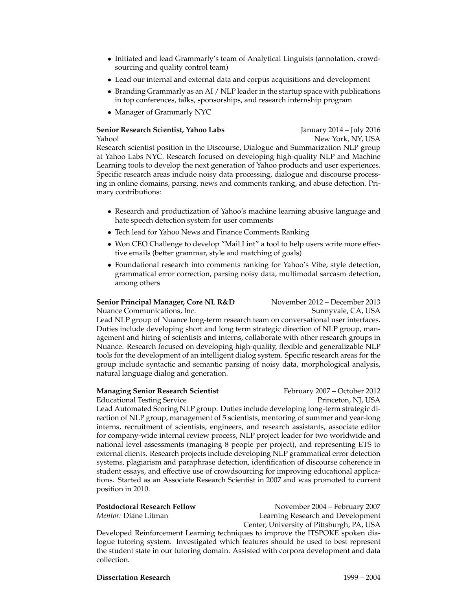- Initiated and lead Grammarly's team of Analytical Linguists (annotation, crowdsourcing and quality control team)
- Lead our internal and external data and corpus acquisitions and development
- Branding Grammarly as an AI / NLP leader in the startup space with publications in top conferences, talks, sponsorships, and research internship program
- Manager of Grammarly NYC

# **Senior Research Scientist, Yahoo Labs** January 2014 – July 2016 Yahoo! New York, NY, USA Research scientist position in the Discourse, Dialogue and Summarization NLP group at Yahoo Labs NYC. Research focused on developing high-quality NLP and Machine Learning tools to develop the next generation of Yahoo products and user experiences. Specific research areas include noisy data processing, dialogue and discourse processing in online domains, parsing, news and comments ranking, and abuse detection. Primary contributions:

- Research and productization of Yahoo's machine learning abusive language and hate speech detection system for user comments
- Tech lead for Yahoo News and Finance Comments Ranking
- Won CEO Challenge to develop "Mail Lint" a tool to help users write more effective emails (better grammar, style and matching of goals)
- Foundational research into comments ranking for Yahoo's Vibe, style detection, grammatical error correction, parsing noisy data, multimodal sarcasm detection, among others

# **Senior Principal Manager, Core NL R&D** November 2012 – December 2013

Nuance Communications, Inc. Sunnyvale, CA, USA

Lead NLP group of Nuance long-term research team on conversational user interfaces. Duties include developing short and long term strategic direction of NLP group, management and hiring of scientists and interns, collaborate with other research groups in Nuance. Research focused on developing high-quality, flexible and generalizable NLP tools for the development of an intelligent dialog system. Specific research areas for the group include syntactic and semantic parsing of noisy data, morphological analysis, natural language dialog and generation.

# **Managing Senior Research Scientist** February 2007 – October 2012

Educational Testing Service **Princeton, NJ, USA** Lead Automated Scoring NLP group. Duties include developing long-term strategic direction of NLP group, management of 5 scientists, mentoring of summer and year-long interns, recruitment of scientists, engineers, and research assistants, associate editor for company-wide internal review process, NLP project leader for two worldwide and national level assessments (managing 8 people per project), and representing ETS to external clients. Research projects include developing NLP grammatical error detection systems, plagiarism and paraphrase detection, identification of discourse coherence in student essays, and effective use of crowdsourcing for improving educational applications. Started as an Associate Research Scientist in 2007 and was promoted to current position in 2010.

| Postdoctoral Research Fellow | November 2004 - February 2007                                                  |
|------------------------------|--------------------------------------------------------------------------------|
| <i>Mentor: D</i> iane Litman | Learning Research and Development                                              |
|                              | Center, University of Pittsburgh, PA, USA                                      |
|                              | Developed Reinforcement Learning techniques to improve the ITSPOKE spoken dia- |
|                              |                                                                                |

logue tutoring system. Investigated which features should be used to best represent the student state in our tutoring domain. Assisted with corpora development and data collection.

# **Dissertation Research** 1999 – 2004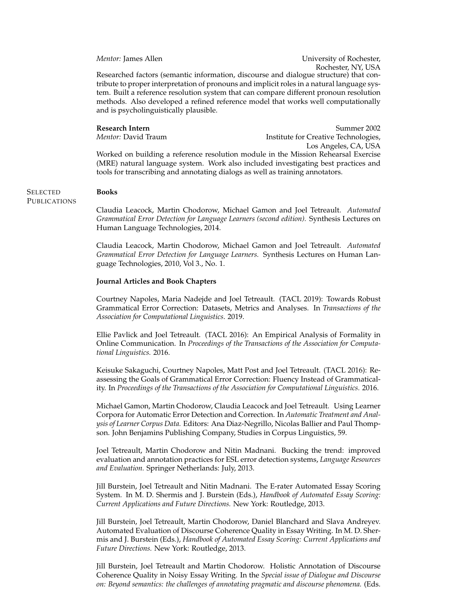*Mentor:* James Allen **Vertex** 2012 **University of Rochester**, Rochester, NY, USA Researched factors (semantic information, discourse and dialogue structure) that contribute to proper interpretation of pronouns and implicit roles in a natural language system. Built a reference resolution system that can compare different pronoun resolution methods. Also developed a refined reference model that works well computationally and is psycholinguistically plausible.

**Books**

**Research Intern** Summer 2002 *Mentor:* David Traum **Institute for Creative Technologies**, Los Angeles, CA, USA

Worked on building a reference resolution module in the Mission Rehearsal Exercise (MRE) natural language system. Work also included investigating best practices and tools for transcribing and annotating dialogs as well as training annotators.

### **SELECTED PUBLICATIONS**

Claudia Leacock, Martin Chodorow, Michael Gamon and Joel Tetreault. *Automated Grammatical Error Detection for Language Learners (second edition).* Synthesis Lectures on Human Language Technologies, 2014.

Claudia Leacock, Martin Chodorow, Michael Gamon and Joel Tetreault. *Automated Grammatical Error Detection for Language Learners.* Synthesis Lectures on Human Language Technologies, 2010, Vol 3., No. 1.

### **Journal Articles and Book Chapters**

Courtney Napoles, Maria Nadejde and Joel Tetreault. (TACL 2019): Towards Robust Grammatical Error Correction: Datasets, Metrics and Analyses. In *Transactions of the Association for Computational Linguistics*. 2019.

Ellie Pavlick and Joel Tetreault. (TACL 2016): An Empirical Analysis of Formality in Online Communication. In *Proceedings of the Transactions of the Association for Computational Linguistics.* 2016.

Keisuke Sakaguchi, Courtney Napoles, Matt Post and Joel Tetreault. (TACL 2016): Reassessing the Goals of Grammatical Error Correction: Fluency Instead of Grammaticality. In *Proceedings of the Transactions of the Association for Computational Linguistics.* 2016.

Michael Gamon, Martin Chodorow, Claudia Leacock and Joel Tetreault. Using Learner Corpora for Automatic Error Detection and Correction. In *Automatic Treatment and Analysis of Learner Corpus Data.* Editors: Ana Diaz-Negrillo, Nicolas Ballier and Paul Thompson. John Benjamins Publishing Company, Studies in Corpus Linguistics, 59.

Joel Tetreault, Martin Chodorow and Nitin Madnani. Bucking the trend: improved evaluation and annotation practices for ESL error detection systems, *Language Resources and Evaluation.* Springer Netherlands: July, 2013.

Jill Burstein, Joel Tetreault and Nitin Madnani. The E-rater Automated Essay Scoring System. In M. D. Shermis and J. Burstein (Eds.), *Handbook of Automated Essay Scoring: Current Applications and Future Directions.* New York: Routledge, 2013.

Jill Burstein, Joel Tetreault, Martin Chodorow, Daniel Blanchard and Slava Andreyev. Automated Evaluation of Discourse Coherence Quality in Essay Writing. In M. D. Shermis and J. Burstein (Eds.), *Handbook of Automated Essay Scoring: Current Applications and Future Directions.* New York: Routledge, 2013.

Jill Burstein, Joel Tetreault and Martin Chodorow. Holistic Annotation of Discourse Coherence Quality in Noisy Essay Writing. In the *Special issue of Dialogue and Discourse on: Beyond semantics: the challenges of annotating pragmatic and discourse phenomena.* (Eds.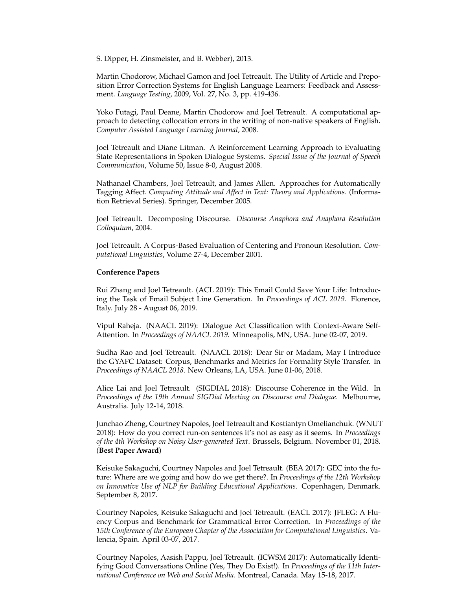S. Dipper, H. Zinsmeister, and B. Webber), 2013.

Martin Chodorow, Michael Gamon and Joel Tetreault. The Utility of Article and Preposition Error Correction Systems for English Language Learners: Feedback and Assessment. *Language Testing*, 2009, Vol. 27, No. 3, pp. 419-436.

Yoko Futagi, Paul Deane, Martin Chodorow and Joel Tetreault. A computational approach to detecting collocation errors in the writing of non-native speakers of English. *Computer Assisted Language Learning Journal*, 2008.

Joel Tetreault and Diane Litman. A Reinforcement Learning Approach to Evaluating State Representations in Spoken Dialogue Systems. *Special Issue of the Journal of Speech Communication*, Volume 50, Issue 8-0, August 2008.

Nathanael Chambers, Joel Tetreault, and James Allen. Approaches for Automatically Tagging Affect. *Computing Attitude and Affect in Text: Theory and Applications.* (Information Retrieval Series). Springer, December 2005.

Joel Tetreault. Decomposing Discourse. *Discourse Anaphora and Anaphora Resolution Colloquium*, 2004.

Joel Tetreault. A Corpus-Based Evaluation of Centering and Pronoun Resolution. *Computational Linguistics*, Volume 27-4, December 2001.

### **Conference Papers**

Rui Zhang and Joel Tetreault. (ACL 2019): This Email Could Save Your Life: Introducing the Task of Email Subject Line Generation. In *Proceedings of ACL 2019*. Florence, Italy. July 28 - August 06, 2019.

Vipul Raheja. (NAACL 2019): Dialogue Act Classification with Context-Aware Self-Attention. In *Proceedings of NAACL 2019*. Minneapolis, MN, USA. June 02-07, 2019.

Sudha Rao and Joel Tetreault. (NAACL 2018): Dear Sir or Madam, May I Introduce the GYAFC Dataset: Corpus, Benchmarks and Metrics for Formality Style Transfer. In *Proceedings of NAACL 2018*. New Orleans, LA, USA. June 01-06, 2018.

Alice Lai and Joel Tetreault. (SIGDIAL 2018): Discourse Coherence in the Wild. In *Proceedings of the 19th Annual SIGDial Meeting on Discourse and Dialogue*. Melbourne, Australia. July 12-14, 2018.

Junchao Zheng, Courtney Napoles, Joel Tetreault and Kostiantyn Omelianchuk. (WNUT 2018): How do you correct run-on sentences it's not as easy as it seems. In *Proceedings of the 4th Workshop on Noisy User-generated Text*. Brussels, Belgium. November 01, 2018. (**Best Paper Award**)

Keisuke Sakaguchi, Courtney Napoles and Joel Tetreault. (BEA 2017): GEC into the future: Where are we going and how do we get there?. In *Proceedings of the 12th Workshop on Innovative Use of NLP for Building Educational Applications*. Copenhagen, Denmark. September 8, 2017.

Courtney Napoles, Keisuke Sakaguchi and Joel Tetreault. (EACL 2017): JFLEG: A Fluency Corpus and Benchmark for Grammatical Error Correction. In *Proceedings of the 15th Conference of the European Chapter of the Association for Computational Linguistics*. Valencia, Spain. April 03-07, 2017.

Courtney Napoles, Aasish Pappu, Joel Tetreault. (ICWSM 2017): Automatically Identifying Good Conversations Online (Yes, They Do Exist!). In *Proceedings of the 11th International Conference on Web and Social Media*. Montreal, Canada. May 15-18, 2017.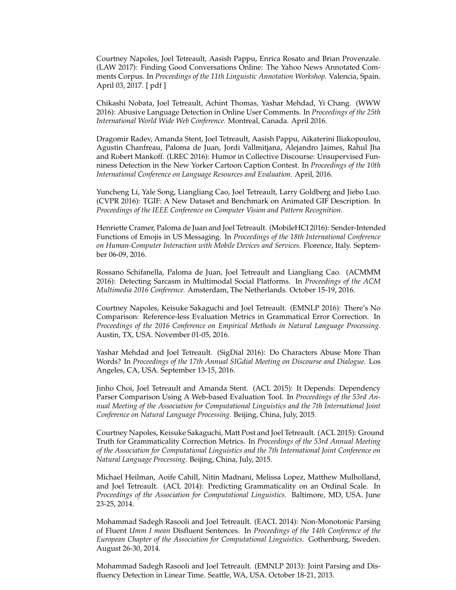Courtney Napoles, Joel Tetreault, Aasish Pappu, Enrica Rosato and Brian Provenzale. (LAW 2017): Finding Good Conversations Online: The Yahoo News Annotated Comments Corpus. In *Proceedings of the 11th Linguistic Annotation Workshop*. Valencia, Spain. April 03, 2017. [ pdf ]

Chikashi Nobata, Joel Tetreault, Achint Thomas, Yashar Mehdad, Yi Chang. (WWW 2016): Abusive Language Detection in Online User Comments. In *Proceedings of the 25th International World Wide Web Conference.* Montreal, Canada. April 2016.

Dragomir Radev, Amanda Stent, Joel Tetreault, Aasish Pappu, Aikaterini Iliakopoulou, Agustin Chanfreau, Paloma de Juan, Jordi Vallmitjana, Alejandro Jaimes, Rahul Jha and Robert Mankoff. (LREC 2016): Humor in Collective Discourse: Unsupervised Funniness Detection in the New Yorker Cartoon Caption Contest. In *Proceedings of the 10th International Conference on Language Resources and Evaluation.* April, 2016.

Yuncheng Li, Yale Song, Liangliang Cao, Joel Tetreault, Larry Goldberg and Jiebo Luo. (CVPR 2016): TGIF: A New Dataset and Benchmark on Animated GIF Description. In *Proceedings of the IEEE Conference on Computer Vision and Pattern Recognition.*

Henriette Cramer, Paloma de Juan and Joel Tetreault. (MobileHCI 2016): Sender-Intended Functions of Emojis in US Messaging. In *Proceedings of the 18th International Conference on Human-Computer Interaction with Mobile Devices and Services.* Florence, Italy. September 06-09, 2016.

Rossano Schifanella, Paloma de Juan, Joel Tetreault and Liangliang Cao. (ACMMM 2016): Detecting Sarcasm in Multimodal Social Platforms. In *Proceedings of the ACM Multimedia 2016 Conference.* Amsterdam, The Netherlands. October 15-19, 2016.

Courtney Napoles, Keisuke Sakaguchi and Joel Tetreault. (EMNLP 2016): There's No Comparison: Reference-less Evaluation Metrics in Grammatical Error Correction. In *Proceedings of the 2016 Conference on Empirical Methods in Natural Language Processing.* Austin, TX, USA. November 01-05, 2016.

Yashar Mehdad and Joel Tetreault. (SigDial 2016): Do Characters Abuse More Than Words? In *Proceedings of the 17th Annual SIGdial Meeting on Discourse and Dialogue.* Los Angeles, CA, USA. September 13-15, 2016.

Jinho Choi, Joel Tetreault and Amanda Stent. (ACL 2015): It Depends: Dependency Parser Comparison Using A Web-based Evaluation Tool. In *Proceedings of the 53rd Annual Meeting of the Association for Computational Linguistics and the 7th International Joint Conference on Natural Language Processing.* Beijing, China, July, 2015.

Courtney Napoles, Keisuke Sakaguchi, Matt Post and Joel Tetreault. (ACL 2015): Ground Truth for Grammaticality Correction Metrics. In *Proceedings of the 53rd Annual Meeting of the Association for Computational Linguistics and the 7th International Joint Conference on Natural Language Processing.* Beijing, China, July, 2015.

Michael Heilman, Aoife Cahill, Nitin Madnani, Melissa Lopez, Matthew Mulholland, and Joel Tetreault. (ACL 2014): Predicting Grammaticality on an Ordinal Scale. In *Proceedings of the Association for Computational Linguistics.* Baltimore, MD, USA. June 23-25, 2014.

Mohammad Sadegh Rasooli and Joel Tetreault. (EACL 2014): Non-Monotonic Parsing of Fluent *Umm I mean* Disfluent Sentences. In *Proceedings of the 14th Conference of the European Chapter of the Association for Computational Linguistics.* Gothenburg, Sweden. August 26-30, 2014.

Mohammad Sadegh Rasooli and Joel Tetreault. (EMNLP 2013): Joint Parsing and Disfluency Detection in Linear Time. Seattle, WA, USA. October 18-21, 2013.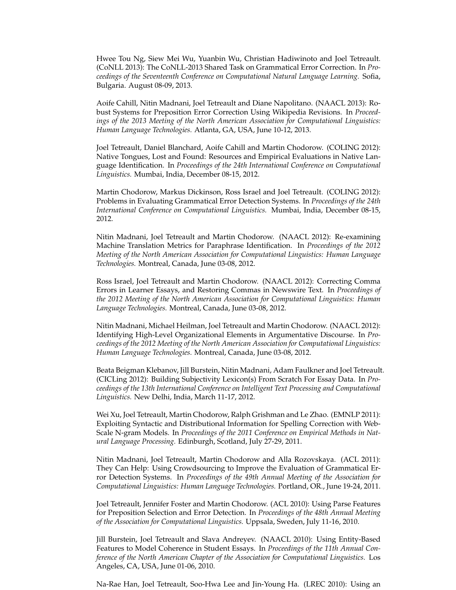Hwee Tou Ng, Siew Mei Wu, Yuanbin Wu, Christian Hadiwinoto and Joel Tetreault. (CoNLL 2013): The CoNLL-2013 Shared Task on Grammatical Error Correction. In *Proceedings of the Seventeenth Conference on Computational Natural Language Learning.* Sofia, Bulgaria. August 08-09, 2013.

Aoife Cahill, Nitin Madnani, Joel Tetreault and Diane Napolitano. (NAACL 2013): Robust Systems for Preposition Error Correction Using Wikipedia Revisions. In *Proceedings of the 2013 Meeting of the North American Association for Computational Linguistics: Human Language Technologies.* Atlanta, GA, USA, June 10-12, 2013.

Joel Tetreault, Daniel Blanchard, Aoife Cahill and Martin Chodorow. (COLING 2012): Native Tongues, Lost and Found: Resources and Empirical Evaluations in Native Language Identification. In *Proceedings of the 24th International Conference on Computational Linguistics.* Mumbai, India, December 08-15, 2012.

Martin Chodorow, Markus Dickinson, Ross Israel and Joel Tetreault. (COLING 2012): Problems in Evaluating Grammatical Error Detection Systems. In *Proceedings of the 24th International Conference on Computational Linguistics.* Mumbai, India, December 08-15, 2012.

Nitin Madnani, Joel Tetreault and Martin Chodorow. (NAACL 2012): Re-examining Machine Translation Metrics for Paraphrase Identification. In *Proceedings of the 2012 Meeting of the North American Association for Computational Linguistics: Human Language Technologies.* Montreal, Canada, June 03-08, 2012.

Ross Israel, Joel Tetreault and Martin Chodorow. (NAACL 2012): Correcting Comma Errors in Learner Essays, and Restoring Commas in Newswire Text. In *Proceedings of the 2012 Meeting of the North American Association for Computational Linguistics: Human Language Technologies.* Montreal, Canada, June 03-08, 2012.

Nitin Madnani, Michael Heilman, Joel Tetreault and Martin Chodorow. (NAACL 2012): Identifying High-Level Organizational Elements in Argumentative Discourse. In *Proceedings of the 2012 Meeting of the North American Association for Computational Linguistics: Human Language Technologies.* Montreal, Canada, June 03-08, 2012.

Beata Beigman Klebanov, Jill Burstein, Nitin Madnani, Adam Faulkner and Joel Tetreault. (CICLing 2012): Building Subjectivity Lexicon(s) From Scratch For Essay Data. In *Proceedings of the 13th International Conference on Intelligent Text Processing and Computational Linguistics.* New Delhi, India, March 11-17, 2012.

Wei Xu, Joel Tetreault, Martin Chodorow, Ralph Grishman and Le Zhao. (EMNLP 2011): Exploiting Syntactic and Distributional Information for Spelling Correction with Web-Scale N-gram Models. In *Proceedings of the 2011 Conference on Empirical Methods in Natural Language Processing.* Edinburgh, Scotland, July 27-29, 2011.

Nitin Madnani, Joel Tetreault, Martin Chodorow and Alla Rozovskaya. (ACL 2011): They Can Help: Using Crowdsourcing to Improve the Evaluation of Grammatical Error Detection Systems. In *Proceedings of the 49th Annual Meeting of the Association for Computational Linguistics: Human Language Technologies.* Portland, OR., June 19-24, 2011.

Joel Tetreault, Jennifer Foster and Martin Chodorow. (ACL 2010): Using Parse Features for Preposition Selection and Error Detection. In *Proceedings of the 48th Annual Meeting of the Association for Computational Linguistics.* Uppsala, Sweden, July 11-16, 2010.

Jill Burstein, Joel Tetreault and Slava Andreyev. (NAACL 2010): Using Entity-Based Features to Model Coherence in Student Essays. In *Proceedings of the 11th Annual Conference of the North American Chapter of the Association for Computational Linguistics.* Los Angeles, CA, USA, June 01-06, 2010.

Na-Rae Han, Joel Tetreault, Soo-Hwa Lee and Jin-Young Ha. (LREC 2010): Using an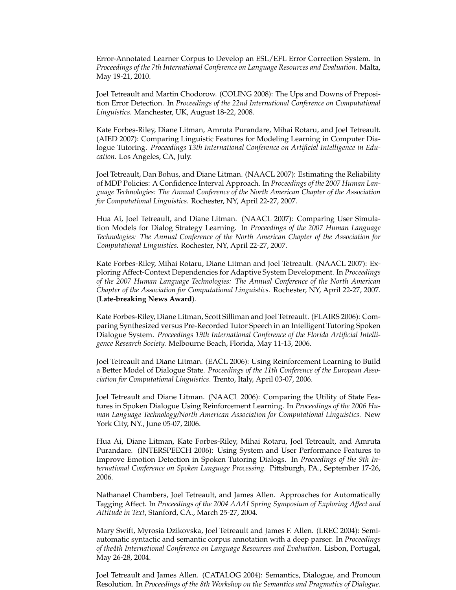Error-Annotated Learner Corpus to Develop an ESL/EFL Error Correction System. In *Proceedings of the 7th International Conference on Language Resources and Evaluation.* Malta, May 19-21, 2010.

Joel Tetreault and Martin Chodorow. (COLING 2008): The Ups and Downs of Preposition Error Detection. In *Proceedings of the 22nd International Conference on Computational Linguistics.* Manchester, UK, August 18-22, 2008.

Kate Forbes-Riley, Diane Litman, Amruta Purandare, Mihai Rotaru, and Joel Tetreault. (AIED 2007): Comparing Linguistic Features for Modeling Learning in Computer Dialogue Tutoring. *Proceedings 13th International Conference on Artificial Intelligence in Education.* Los Angeles, CA, July.

Joel Tetreault, Dan Bohus, and Diane Litman. (NAACL 2007): Estimating the Reliability of MDP Policies: A Confidence Interval Approach. In *Proceedings of the 2007 Human Language Technologies: The Annual Conference of the North American Chapter of the Association for Computational Linguistics.* Rochester, NY, April 22-27, 2007.

Hua Ai, Joel Tetreault, and Diane Litman. (NAACL 2007): Comparing User Simulation Models for Dialog Strategy Learning. In *Proceedings of the 2007 Human Language Technologies: The Annual Conference of the North American Chapter of the Association for Computational Linguistics.* Rochester, NY, April 22-27, 2007.

Kate Forbes-Riley, Mihai Rotaru, Diane Litman and Joel Tetreault. (NAACL 2007): Exploring Affect-Context Dependencies for Adaptive System Development. In *Proceedings of the 2007 Human Language Technologies: The Annual Conference of the North American Chapter of the Association for Computational Linguistics.* Rochester, NY, April 22-27, 2007. (**Late-breaking News Award**).

Kate Forbes-Riley, Diane Litman, Scott Silliman and Joel Tetreault. (FLAIRS 2006): Comparing Synthesized versus Pre-Recorded Tutor Speech in an Intelligent Tutoring Spoken Dialogue System. *Proceedings 19th International Conference of the Florida Artificial Intelligence Research Society.* Melbourne Beach, Florida, May 11-13, 2006.

Joel Tetreault and Diane Litman. (EACL 2006): Using Reinforcement Learning to Build a Better Model of Dialogue State. *Proceedings of the 11th Conference of the European Association for Computational Linguistics*. Trento, Italy, April 03-07, 2006.

Joel Tetreault and Diane Litman. (NAACL 2006): Comparing the Utility of State Features in Spoken Dialogue Using Reinforcement Learning. In *Proceedings of the 2006 Human Language Technology/North American Association for Computational Linguistics.* New York City, NY., June 05-07, 2006.

Hua Ai, Diane Litman, Kate Forbes-Riley, Mihai Rotaru, Joel Tetreault, and Amruta Purandare. (INTERSPEECH 2006): Using System and User Performance Features to Improve Emotion Detection in Spoken Tutoring Dialogs. In *Proceedings of the 9th International Conference on Spoken Language Processing.* Pittsburgh, PA., September 17-26, 2006.

Nathanael Chambers, Joel Tetreault, and James Allen. Approaches for Automatically Tagging Affect. In *Proceedings of the 2004 AAAI Spring Symposium of Exploring Affect and Attitude in Text*, Stanford, CA., March 25-27, 2004.

Mary Swift, Myrosia Dzikovska, Joel Tetreault and James F. Allen. (LREC 2004): Semiautomatic syntactic and semantic corpus annotation with a deep parser. In *Proceedings of the4th International Conference on Language Resources and Evaluation.* Lisbon, Portugal, May 26-28, 2004.

Joel Tetreault and James Allen. (CATALOG 2004): Semantics, Dialogue, and Pronoun Resolution. In *Proceedings of the 8th Workshop on the Semantics and Pragmatics of Dialogue.*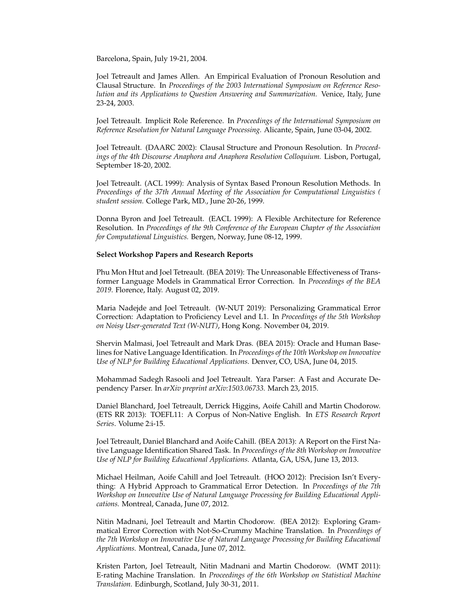Barcelona, Spain, July 19-21, 2004.

Joel Tetreault and James Allen. An Empirical Evaluation of Pronoun Resolution and Clausal Structure. In *Proceedings of the 2003 International Symposium on Reference Resolution and its Applications to Question Answering and Summarization.* Venice, Italy, June 23-24, 2003.

Joel Tetreault. Implicit Role Reference. In *Proceedings of the International Symposium on Reference Resolution for Natural Language Processing.* Alicante, Spain, June 03-04, 2002.

Joel Tetreault. (DAARC 2002): Clausal Structure and Pronoun Resolution. In *Proceedings of the 4th Discourse Anaphora and Anaphora Resolution Colloquium.* Lisbon, Portugal, September 18-20, 2002.

Joel Tetreault. (ACL 1999): Analysis of Syntax Based Pronoun Resolution Methods. In *Proceedings of the 37th Annual Meeting of the Association for Computational Linguistics ( student session.* College Park, MD., June 20-26, 1999.

Donna Byron and Joel Tetreault. (EACL 1999): A Flexible Architecture for Reference Resolution. In *Proceedings of the 9th Conference of the European Chapter of the Association for Computational Linguistics.* Bergen, Norway, June 08-12, 1999.

### **Select Workshop Papers and Research Reports**

Phu Mon Htut and Joel Tetreault. (BEA 2019): The Unreasonable Effectiveness of Transformer Language Models in Grammatical Error Correction. In *Proceedings of the BEA 2019*. Florence, Italy. August 02, 2019.

Maria Nadejde and Joel Tetreault. (W-NUT 2019): Personalizing Grammatical Error Correction: Adaptation to Proficiency Level and L1. In *Proceedings of the 5th Workshop on Noisy User-generated Text (W-NUT)*, Hong Kong. November 04, 2019.

Shervin Malmasi, Joel Tetreault and Mark Dras. (BEA 2015): Oracle and Human Baselines for Native Language Identification. In *Proceedings of the 10th Workshop on Innovative Use of NLP for Building Educational Applications.* Denver, CO, USA, June 04, 2015.

Mohammad Sadegh Rasooli and Joel Tetreault. Yara Parser: A Fast and Accurate Dependency Parser. In *arXiv preprint arXiv:1503.06733.* March 23, 2015.

Daniel Blanchard, Joel Tetreault, Derrick Higgins, Aoife Cahill and Martin Chodorow. (ETS RR 2013): TOEFL11: A Corpus of Non-Native English. In *ETS Research Report Series*. Volume 2:i-15.

Joel Tetreault, Daniel Blanchard and Aoife Cahill. (BEA 2013): A Report on the First Native Language Identification Shared Task. In *Proceedings of the 8th Workshop on Innovative Use of NLP for Building Educational Applications.* Atlanta, GA, USA, June 13, 2013.

Michael Heilman, Aoife Cahill and Joel Tetreault. (HOO 2012): Precision Isn't Everything: A Hybrid Approach to Grammatical Error Detection. In *Proceedings of the 7th Workshop on Innovative Use of Natural Language Processing for Building Educational Applications.* Montreal, Canada, June 07, 2012.

Nitin Madnani, Joel Tetreault and Martin Chodorow. (BEA 2012): Exploring Grammatical Error Correction with Not-So-Crummy Machine Translation. In *Proceedings of the 7th Workshop on Innovative Use of Natural Language Processing for Building Educational Applications.* Montreal, Canada, June 07, 2012.

Kristen Parton, Joel Tetreault, Nitin Madnani and Martin Chodorow. (WMT 2011): E-rating Machine Translation. In *Proceedings of the 6th Workshop on Statistical Machine Translation.* Edinburgh, Scotland, July 30-31, 2011.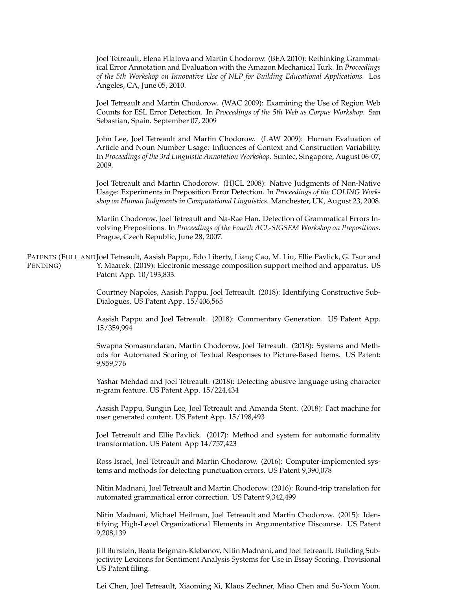Joel Tetreault, Elena Filatova and Martin Chodorow. (BEA 2010): Rethinking Grammatical Error Annotation and Evaluation with the Amazon Mechanical Turk. In *Proceedings of the 5th Workshop on Innovative Use of NLP for Building Educational Applications.* Los Angeles, CA, June 05, 2010.

Joel Tetreault and Martin Chodorow. (WAC 2009): Examining the Use of Region Web Counts for ESL Error Detection. In *Proceedings of the 5th Web as Corpus Workshop.* San Sebastian, Spain. September 07, 2009

John Lee, Joel Tetreault and Martin Chodorow. (LAW 2009): Human Evaluation of Article and Noun Number Usage: Influences of Context and Construction Variability. In *Proceedings of the 3rd Linguistic Annotation Workshop.* Suntec, Singapore, August 06-07, 2009.

Joel Tetreault and Martin Chodorow. (HJCL 2008): Native Judgments of Non-Native Usage: Experiments in Preposition Error Detection. In *Proceedings of the COLING Workshop on Human Judgments in Computational Linguistics.* Manchester, UK, August 23, 2008.

Martin Chodorow, Joel Tetreault and Na-Rae Han. Detection of Grammatical Errors Involving Prepositions. In *Proceedings of the Fourth ACL-SIGSEM Workshop on Prepositions.* Prague, Czech Republic, June 28, 2007.

PATENTS (FULL AND Joel Tetreault, Aasish Pappu, Edo Liberty, Liang Cao, M. Liu, Ellie Pavlick, G. Tsur and PENDING) Y. Maarek. (2019): Electronic message composition support method and apparatus. US Patent App. 10/193,833.

> Courtney Napoles, Aasish Pappu, Joel Tetreault. (2018): Identifying Constructive Sub-Dialogues. US Patent App. 15/406,565

> Aasish Pappu and Joel Tetreault. (2018): Commentary Generation. US Patent App. 15/359,994

> Swapna Somasundaran, Martin Chodorow, Joel Tetreault. (2018): Systems and Methods for Automated Scoring of Textual Responses to Picture-Based Items. US Patent: 9,959,776

> Yashar Mehdad and Joel Tetreault. (2018): Detecting abusive language using character n-gram feature. US Patent App. 15/224,434

> Aasish Pappu, Sungjin Lee, Joel Tetreault and Amanda Stent. (2018): Fact machine for user generated content. US Patent App. 15/198,493

> Joel Tetreault and Ellie Pavlick. (2017): Method and system for automatic formality transformation. US Patent App 14/757,423

> Ross Israel, Joel Tetreault and Martin Chodorow. (2016): Computer-implemented systems and methods for detecting punctuation errors. US Patent 9,390,078

> Nitin Madnani, Joel Tetreault and Martin Chodorow. (2016): Round-trip translation for automated grammatical error correction. US Patent 9,342,499

> Nitin Madnani, Michael Heilman, Joel Tetreault and Martin Chodorow. (2015): Identifying High-Level Organizational Elements in Argumentative Discourse. US Patent 9,208,139

> Jill Burstein, Beata Beigman-Klebanov, Nitin Madnani, and Joel Tetreault. Building Subjectivity Lexicons for Sentiment Analysis Systems for Use in Essay Scoring. Provisional US Patent filing.

> Lei Chen, Joel Tetreault, Xiaoming Xi, Klaus Zechner, Miao Chen and Su-Youn Yoon.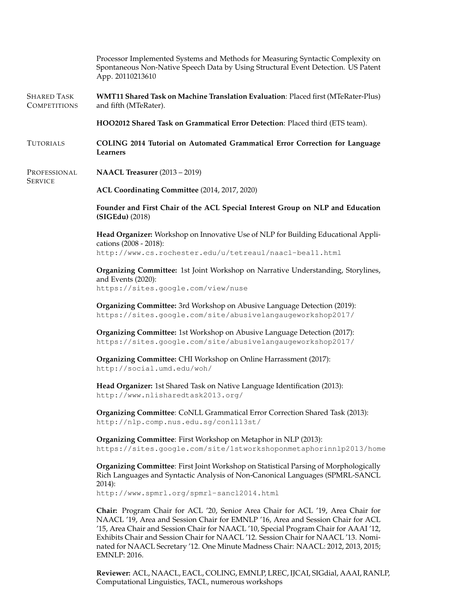|                                           | Processor Implemented Systems and Methods for Measuring Syntactic Complexity on<br>Spontaneous Non-Native Speech Data by Using Structural Event Detection. US Patent<br>App. 20110213610                                                                                                                                                                                                                                                                     |  |  |
|-------------------------------------------|--------------------------------------------------------------------------------------------------------------------------------------------------------------------------------------------------------------------------------------------------------------------------------------------------------------------------------------------------------------------------------------------------------------------------------------------------------------|--|--|
| <b>SHARED TASK</b><br><b>COMPETITIONS</b> | <b>WMT11 Shared Task on Machine Translation Evaluation: Placed first (MTeRater-Plus)</b><br>and fifth (MTeRater).                                                                                                                                                                                                                                                                                                                                            |  |  |
|                                           | HOO2012 Shared Task on Grammatical Error Detection: Placed third (ETS team).                                                                                                                                                                                                                                                                                                                                                                                 |  |  |
| <b>TUTORIALS</b>                          | COLING 2014 Tutorial on Automated Grammatical Error Correction for Language<br>Learners                                                                                                                                                                                                                                                                                                                                                                      |  |  |
| PROFESSIONAL<br><b>SERVICE</b>            | <b>NAACL Treasurer</b> (2013 – 2019)                                                                                                                                                                                                                                                                                                                                                                                                                         |  |  |
|                                           | ACL Coordinating Committee (2014, 2017, 2020)                                                                                                                                                                                                                                                                                                                                                                                                                |  |  |
|                                           | Founder and First Chair of the ACL Special Interest Group on NLP and Education<br>(SIGEdu) (2018)                                                                                                                                                                                                                                                                                                                                                            |  |  |
|                                           | Head Organizer: Workshop on Innovative Use of NLP for Building Educational Appli-<br>cations (2008 - 2018):                                                                                                                                                                                                                                                                                                                                                  |  |  |
|                                           | http://www.cs.rochester.edu/u/tetreaul/naacl-bea11.html                                                                                                                                                                                                                                                                                                                                                                                                      |  |  |
|                                           | <b>Organizing Committee:</b> 1st Joint Workshop on Narrative Understanding, Storylines,<br>and Events (2020):<br>https://sites.google.com/view/nuse                                                                                                                                                                                                                                                                                                          |  |  |
|                                           | Organizing Committee: 3rd Workshop on Abusive Language Detection (2019):<br>https://sites.google.com/site/abusivelangaugeworkshop2017/                                                                                                                                                                                                                                                                                                                       |  |  |
|                                           | Organizing Committee: 1st Workshop on Abusive Language Detection (2017):<br>https://sites.google.com/site/abusivelangaugeworkshop2017/                                                                                                                                                                                                                                                                                                                       |  |  |
|                                           | <b>Organizing Committee:</b> CHI Workshop on Online Harrassment (2017):<br>http://social.umd.edu/woh/                                                                                                                                                                                                                                                                                                                                                        |  |  |
|                                           | Head Organizer: 1st Shared Task on Native Language Identification (2013):<br>http://www.nlisharedtask2013.org/                                                                                                                                                                                                                                                                                                                                               |  |  |
|                                           | Organizing Committee: CoNLL Grammatical Error Correction Shared Task (2013):<br>http://nlp.comp.nus.edu.sq/conll13st/                                                                                                                                                                                                                                                                                                                                        |  |  |
|                                           | Organizing Committee: First Workshop on Metaphor in NLP (2013):<br>https://sites.google.com/site/1stworkshoponmetaphorinnlp2013/home                                                                                                                                                                                                                                                                                                                         |  |  |
|                                           | Organizing Committee: First Joint Workshop on Statistical Parsing of Morphologically<br>Rich Languages and Syntactic Analysis of Non-Canonical Languages (SPMRL-SANCL<br>2014):                                                                                                                                                                                                                                                                              |  |  |
|                                           | http://www.spmrl.org/spmrl-sancl2014.html                                                                                                                                                                                                                                                                                                                                                                                                                    |  |  |
|                                           | Chair: Program Chair for ACL '20, Senior Area Chair for ACL '19, Area Chair for<br>NAACL '19, Area and Session Chair for EMNLP '16, Area and Session Chair for ACL<br>'15, Area Chair and Session Chair for NAACL '10, Special Program Chair for AAAI '12,<br>Exhibits Chair and Session Chair for NAACL '12. Session Chair for NAACL '13. Nomi-<br>nated for NAACL Secretary '12. One Minute Madness Chair: NAACL: 2012, 2013, 2015;<br><b>EMNLP: 2016.</b> |  |  |

**Reviewer:** ACL, NAACL, EACL, COLING, EMNLP, LREC, IJCAI, SIGdial, AAAI, RANLP, Computational Linguistics, TACL, numerous workshops